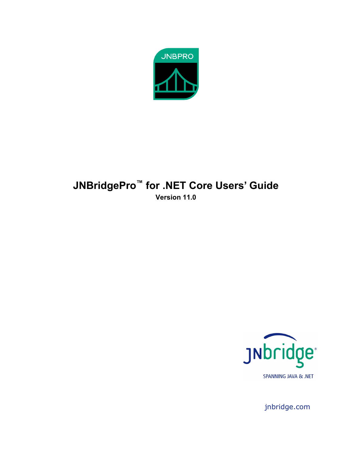

# <span id="page-0-0"></span>**JNBridgePro™ for .NET Core Users' Guide Version 11.0**



jnbridge.com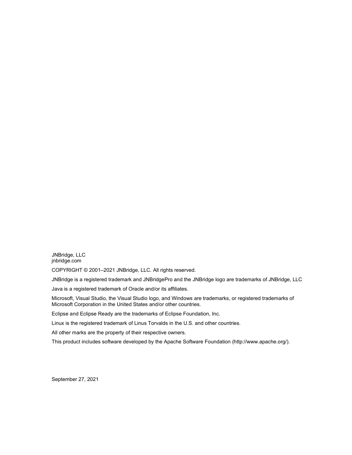JNBridge, LLC jnbridge.com

COPYRIGHT © 2001–2021 JNBridge, LLC. All rights reserved.

JNBridge is a registered trademark and JNBridgePro and the JNBridge logo are trademarks of JNBridge, LLC

Java is a registered trademark of Oracle and/or its affiliates.

Microsoft, Visual Studio, the Visual Studio logo, and Windows are trademarks, or registered trademarks of Microsoft Corporation in the United States and/or other countries.

Eclipse and Eclipse Ready are the trademarks of Eclipse Foundation, Inc.

Linux is the registered trademark of Linus Torvalds in the U.S. and other countries.

All other marks are the property of their respective owners.

This product includes software developed by the Apache Software Foundation (http://www.apache.org/).

September 27, 2021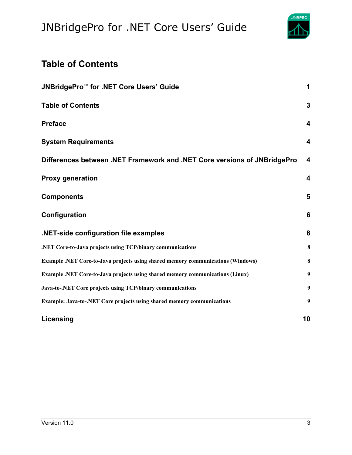

# <span id="page-2-0"></span>**Table of Contents**

| JNBridgePro <sup>™</sup> for .NET Core Users' Guide                                    | 1                       |
|----------------------------------------------------------------------------------------|-------------------------|
| <b>Table of Contents</b>                                                               | 3                       |
| <b>Preface</b>                                                                         | 4                       |
| <b>System Requirements</b>                                                             | $\boldsymbol{4}$        |
| Differences between .NET Framework and .NET Core versions of JNBridgePro               | $\overline{\mathbf{4}}$ |
| <b>Proxy generation</b>                                                                | 4                       |
| <b>Components</b>                                                                      | 5                       |
| Configuration                                                                          | 6                       |
| .NET-side configuration file examples                                                  | 8                       |
| .NET Core-to-Java projects using TCP/binary communications                             | 8                       |
| <b>Example .NET Core-to-Java projects using shared memory communications (Windows)</b> | 8                       |
| Example .NET Core-to-Java projects using shared memory communications (Linux)          | 9                       |
| Java-to-.NET Core projects using TCP/binary communications                             | 9                       |
| <b>Example: Java-to-.NET Core projects using shared memory communications</b>          | 9                       |
| Licensing                                                                              | 10                      |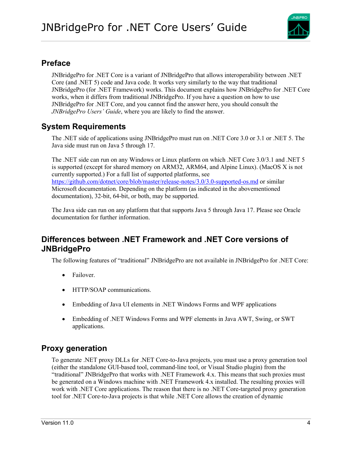

## <span id="page-3-0"></span>**Preface**

JNBridgePro for .NET Core is a variant of JNBridgePro that allows interoperability between .NET Core (and .NET 5) code and Java code. It works very similarly to the way that traditional JNBridgePro (for .NET Framework) works. This document explains how JNBridgePro for .NET Core works, when it differs from traditional JNBridgePro. If you have a question on how to use JNBridgePro for .NET Core, and you cannot find the answer here, you should consult the *JNBridgePro Users' Guide*, where you are likely to find the answer.

## <span id="page-3-1"></span>**System Requirements**

The .NET side of applications using JNBridgePro must run on .NET Core 3.0 or 3.1 or .NET 5. The Java side must run on Java 5 through 17.

The .NET side can run on any Windows or Linux platform on which .NET Core 3.0/3.1 and .NET 5 is supported (except for shared memory on ARM32, ARM64, and Alpine Linux). (MacOS X is not currently supported.) For a full list of supported platforms, see <https://github.com/dotnet/core/blob/master/release-notes/3.0/3.0-supported-os.md> or similar Microsoft documentation. Depending on the platform (as indicated in the abovementioned documentation), 32-bit, 64-bit, or both, may be supported.

The Java side can run on any platform that that supports Java 5 through Java 17. Please see Oracle documentation for further information.

## <span id="page-3-2"></span>**Differences between .NET Framework and .NET Core versions of JNBridgePro**

The following features of "traditional" JNBridgePro are not available in JNBridgePro for .NET Core:

- Failover.
- HTTP/SOAP communications.
- Embedding of Java UI elements in .NET Windows Forms and WPF applications
- Embedding of .NET Windows Forms and WPF elements in Java AWT, Swing, or SWT applications.

## <span id="page-3-3"></span>**Proxy generation**

To generate .NET proxy DLLs for .NET Core-to-Java projects, you must use a proxy generation tool (either the standalone GUI-based tool, command-line tool, or Visual Studio plugin) from the "traditional" JNBridgePro that works with .NET Framework 4.x. This means that such proxies must be generated on a Windows machine with .NET Framework 4.x installed. The resulting proxies will work with .NET Core applications. The reason that there is no .NET Core-targeted proxy generation tool for .NET Core-to-Java projects is that while .NET Core allows the creation of dynamic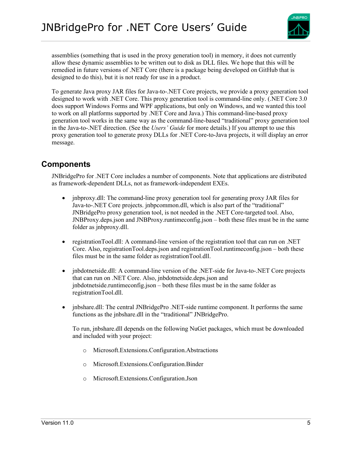

assemblies (something that is used in the proxy generation tool) in memory, it does not currently allow these dynamic assemblies to be written out to disk as DLL files. We hope that this will be remedied in future versions of .NET Core (there is a package being developed on GitHub that is designed to do this), but it is not ready for use in a product.

To generate Java proxy JAR files for Java-to-.NET Core projects, we provide a proxy generation tool designed to work with .NET Core. This proxy generation tool is command-line only. (.NET Core 3.0 does support Windows Forms and WPF applications, but only on Windows, and we wanted this tool to work on all platforms supported by .NET Core and Java.) This command-line-based proxy generation tool works in the same way as the command-line-based "traditional" proxy generation tool in the Java-to-.NET direction. (See the *Users' Guide* for more details.) If you attempt to use this proxy generation tool to generate proxy DLLs for .NET Core-to-Java projects, it will display an error message.

#### <span id="page-4-0"></span>**Components**

JNBridgePro for .NET Core includes a number of components. Note that applications are distributed as framework-dependent DLLs, not as framework-independent EXEs.

- inbproxy.dll: The command-line proxy generation tool for generating proxy JAR files for Java-to-.NET Core projects. jnbpcommon.dll, which is also part of the "traditional" JNBridgePro proxy generation tool, is not needed in the .NET Core-targeted tool. Also, JNBProxy.deps.json and JNBProxy.runtimeconfig.json – both these files must be in the same folder as jnbproxy.dll.
- registrationTool.dll: A command-line version of the registration tool that can run on .NET Core. Also, registrationTool.deps.json and registrationTool.runtimeconfig.json – both these files must be in the same folder as registrationTool.dll.
- jnbdotnetside.dll: A command-line version of the .NET-side for Java-to-.NET Core projects that can run on .NET Core. Also, jnbdotnetside.deps.json and jnbdotnetside.runtimeconfig.json – both these files must be in the same folder as registrationTool.dll.
- inbshare.dll: The central JNBridgePro .NET-side runtime component. It performs the same functions as the jnbshare.dll in the "traditional" JNBridgePro.

To run, jnbshare.dll depends on the following NuGet packages, which must be downloaded and included with your project:

- o Microsoft.Extensions.Configuration.Abstractions
- o Microsoft.Extensions.Configuration.Binder
- o Microsoft.Extensions.Configuration.Json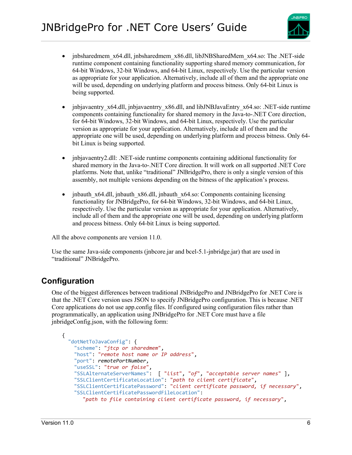

- jnbsharedmem\_x64.dll, jnbsharedmem\_x86.dll, libJNBSharedMem\_x64.so: The .NET-side runtime component containing functionality supporting shared memory communication, for 64-bit Windows, 32-bit Windows, and 64-bit Linux, respectively. Use the particular version as appropriate for your application. Alternatively, include all of them and the appropriate one will be used, depending on underlying platform and process bitness. Only 64-bit Linux is being supported.
- jnbjavaentry x64.dll, jnbjavaentrry x86.dll, and libJNBJavaEntry x64.so: .NET-side runtime components containing functionality for shared memory in the Java-to-.NET Core direction, for 64-bit Windows, 32-bit Windows, and 64-bit Linux, respectively. Use the particular version as appropriate for your application. Alternatively, include all of them and the appropriate one will be used, depending on underlying platform and process bitness. Only 64 bit Linux is being supported.
- inbjavaentry2.dll: .NET-side runtime components containing additional functionality for shared memory in the Java-to-.NET Core direction. It will work on all supported .NET Core platforms. Note that, unlike "traditional" JNBridgePro, there is only a single version of this assembly, not multiple versions depending on the bitness of the application's process.
- inbauth x64.dll, inbauth x86.dll, inbauth x64.so: Components containing licensing functionality for JNBridgePro, for 64-bit Windows, 32-bit Windows, and 64-bit Linux, respectively. Use the particular version as appropriate for your application. Alternatively, include all of them and the appropriate one will be used, depending on underlying platform and process bitness. Only 64-bit Linux is being supported.

All the above components are version 11.0.

Use the same Java-side components (jnbcore.jar and bcel-5.1-jnbridge.jar) that are used in "traditional" JNBridgePro.

### <span id="page-5-0"></span>**Configuration**

One of the biggest differences between traditional JNBridgePro and JNBridgePro for .NET Core is that the .NET Core version uses JSON to specify JNBridgePro configuration. This is because .NET Core applications do not use app.config files. If configured using configuration files rather than programmatically, an application using JNBridgePro for .NET Core must have a file jnbridgeConfig.json, with the following form:

```
{
  "dotNetToJavaConfig": {
     "scheme": "jtcp or sharedmem",
     "host": "remote host name or IP address",
     "port": remotePortNumber,
     "useSSL": "true or false",
     "SSLAlternateServerNames": [ "list", "of", "acceptable server names" ],
     "SSLClientCertificateLocation": "path to client certificate",
     "SSLClientCertificatePassword": "client certificate password, if necessary",
     "SSLClientCertificatePasswordFileLocation": 
       "path to file containing client certificate password, if necessary",
```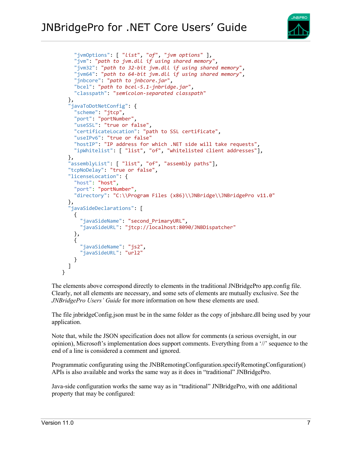

```
 "jvmOptions": [ "list", "of", "jvm options" ],
     "jvm": "path to jvm.dll if using shared memory",
     "jvm32": "path to 32-bit jvm.dll if using shared memory",
     "jvm64": "path to 64-bit jvm.dll if using shared memory",
     "jnbcore": "path to jnbcore.jar",
     "bcel": "path to bcel-5.1-jnbridge.jar",
     "classpath": "semicolon-separated classpath"
 },
 "javaToDotNetConfig": {
     "scheme": "jtcp",
     "port": "portNumber",
     "useSSL": "true or false",
     "certificateLocation": "path to SSL certificate",
     "useIPv6": "true or false"
     "hostIP": "IP address for which .NET side will take requests",
     "ipWhitelist": [ "list", "of", "whitelisted client addresses"],
   },
   "assemblyList": [ "list", "of", "assembly paths"],
   "tcpNoDelay": "true or false",
   "licenseLocation": {
     "host": "host",
     "port": "portNumber",
     "directory": "C:\\Program Files (x86)\\JNBridge\\JNBridgePro v11.0"
  },
  "javaSideDeclarations": [
     {
       "javaSideName": "second_PrimaryURL",
       "javaSideURL": "jtcp://localhost:8090/JNBDispatcher"
     },
\{ \{ \} "javaSideName": "js2",
       "javaSideURL": "url2"
     }
  ]
}
```
The elements above correspond directly to elements in the traditional JNBridgePro app.config file. Clearly, not all elements are necessary, and some sets of elements are mutually exclusive. See the *JNBridgePro Users' Guide* for more information on how these elements are used.

The file jnbridgeConfig.json must be in the same folder as the copy of jnbshare.dll being used by your application.

Note that, while the JSON specification does not allow for comments (a serious oversight, in our opinion), Microsoft's implementation does support comments. Everything from a '//' sequence to the end of a line is considered a comment and ignored.

Programmatic configurating using the JNBRemotingConfiguration.specifyRemotingConfiguration() APIs is also available and works the same way as it does in "traditional" JNBridgePro.

Java-side configuration works the same way as in "traditional" JNBridgePro, with one additional property that may be configured: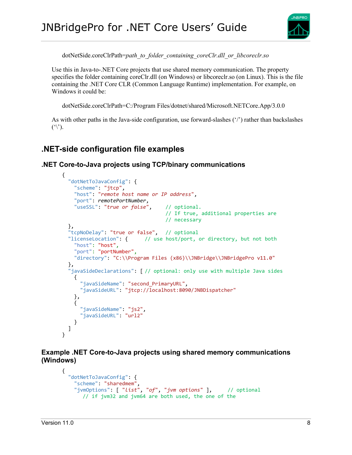

dotNetSide.coreClrPath=*path\_to\_folder\_containing\_coreClr.dll\_or\_libcoreclr.so*

Use this in Java-to-.NET Core projects that use shared memory communication. The property specifies the folder containing coreClr.dll (on Windows) or libcoreclr.so (on Linux). This is the file containing the .NET Core CLR (Common Language Runtime) implementation. For example, on Windows it could be:

dotNetSide.coreClrPath=C:/Program Files/dotnet/shared/Microsoft.NETCore.App/3.0.0

As with other paths in the Java-side configuration, use forward-slashes ('/') rather than backslashes  $(\hat{\ }')$ .

# <span id="page-7-0"></span>**.NET-side configuration file examples**

<span id="page-7-2"></span><span id="page-7-1"></span>**.NET Core-to-Java projects using TCP/binary communications**

```
{
   "dotNetToJavaConfig": {
     "scheme": "jtcp",
     "host": "remote host name or IP address",
     "port": remotePortNumber,
    "useSSL": "true or false", // optional.
                                   // If true, additional properties are
                                   // necessary
   },
  "tcpNoDelay": "true or false", // optional
   "licenseLocation": { // use host/port, or directory, but not both
 "host": "host",
 "port": "portNumber",
     "directory": "C:\\Program Files (x86)\\JNBridge\\JNBridgePro v11.0"
   },
   javaSideDeclarations": [ // optional: only use with multiple Java sides
     {
       "javaSideName": "second_PrimaryURL",
       "javaSideURL": "jtcp://localhost:8090/JNBDispatcher"
     },
     {
       "javaSideName": "js2",
       "javaSideURL": "url2"
     }
   ]
}
```
**Example .NET Core-to-Java projects using shared memory communications (Windows)**

```
{
  "dotNetToJavaConfig": {
    "scheme": "sharedmem",
    "jvmOptions": [ "list", "of", "jvm options" ], // optional
      // if jvm32 and jvm64 are both used, the one of the
```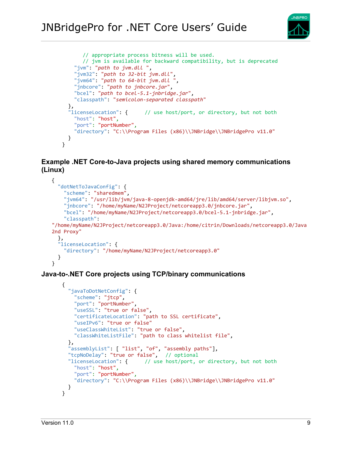

```
// appropriate process bitness will be used.
       // jvm is available for backward compatibility, but is deprecated
     "jvm": "path to jvm.dll ",
     "jvm32": "path to 32-bit jvm.dll",
     "jvm64": "path to 64-bit jvm.dll ",
     "jnbcore": "path to jnbcore.jar",
     "bcel": "path to bcel-5.1-jnbridge.jar",
     "classpath": "semicolon-separated classpath"
  },<br>"licenseLocation": {
                          // use host/port, or directory, but not both
     "host": "host",
     "port": "portNumber",
     "directory": "C:\\Program Files (x86)\\JNBridge\\JNBridgePro v11.0"
   }
}
```
#### <span id="page-8-0"></span>**Example .NET Core-to-Java projects using shared memory communications (Linux)**

```
{
   "dotNetToJavaConfig": {
     "scheme": "sharedmem",
     "jvm64": "/usr/lib/jvm/java-8-openjdk-amd64/jre/lib/amd64/server/libjvm.so",
     "jnbcore": "/home/myName/N2JProject/netcoreapp3.0/jnbcore.jar",
     "bcel": "/home/myName/N2JProject/netcoreapp3.0/bcel-5.1-jnbridge.jar",
     "classpath": 
"/home/myName/N2JProject/netcoreapp3.0/Java:/home/citrin/Downloads/netcoreapp3.0/Java
2nd Proxy"
 },
 "licenseLocation": {
     "directory": "/home/myName/N2JProject/netcoreapp3.0"
  }
}
```
#### <span id="page-8-2"></span><span id="page-8-1"></span>**Java-to-.NET Core projects using TCP/binary communications**

```
{
   "javaToDotNetConfig": {
     "scheme": "jtcp",
     "port": "portNumber",
     "useSSL": "true or false",
     "certificateLocation": "path to SSL certificate",
     "useIPv6": "true or false"
     "useClassWhiteList": "true or false",
     "classWhiteListFile": "path to class whitelist file",
   },
   "assemblyList": [ "list", "of", "assembly paths"],
  "tcpNoDelay": "true or false", // optional
   "licenseLocation": { // use host/port, or directory, but not both
     "host": "host",
     "port": "portNumber",
     "directory": "C:\\Program Files (x86)\\JNBridge\\JNBridgePro v11.0"
  }
}
```